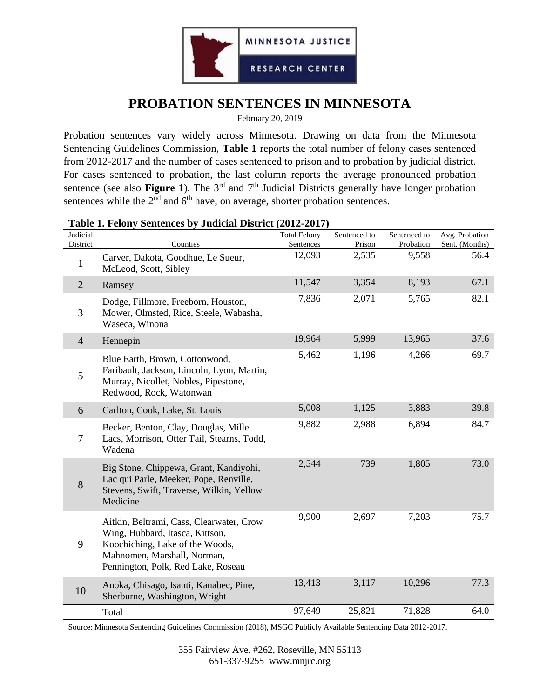

## **PROBATION SENTENCES IN MINNESOTA**

February 20, 2019

Probation sentences vary widely across Minnesota. Drawing on data from the Minnesota Sentencing Guidelines Commission, **Table 1** reports the total number of felony cases sentenced from 2012-2017 and the number of cases sentenced to prison and to probation by judicial district. For cases sentenced to probation, the last column reports the average pronounced probation sentence (see also **Figure 1**). The  $3<sup>rd</sup>$  and  $7<sup>th</sup>$  Judicial Districts generally have longer probation sentences while the  $2<sup>nd</sup>$  and  $6<sup>th</sup>$  have, on average, shorter probation sentences.

| Judicial<br>District | Table 1. Pelony Bendinees by Judicial District (2012-2017)<br>Counties                                                                                                              | <b>Total Felony</b><br>Sentences | Sentenced to<br>Prison | Sentenced to<br>Probation | Avg. Probation<br>Sent. (Months) |
|----------------------|-------------------------------------------------------------------------------------------------------------------------------------------------------------------------------------|----------------------------------|------------------------|---------------------------|----------------------------------|
| $\mathbf{1}$         | Carver, Dakota, Goodhue, Le Sueur,<br>McLeod, Scott, Sibley                                                                                                                         | 12,093                           | 2,535                  | 9,558                     | 56.4                             |
| $\overline{2}$       | Ramsey                                                                                                                                                                              | 11,547                           | 3,354                  | 8,193                     | 67.1                             |
| 3                    | Dodge, Fillmore, Freeborn, Houston,<br>Mower, Olmsted, Rice, Steele, Wabasha,<br>Waseca, Winona                                                                                     | 7,836                            | 2,071                  | 5,765                     | 82.1                             |
| $\overline{4}$       | Hennepin                                                                                                                                                                            | 19,964                           | 5,999                  | 13,965                    | 37.6                             |
| 5                    | Blue Earth, Brown, Cottonwood,<br>Faribault, Jackson, Lincoln, Lyon, Martin,<br>Murray, Nicollet, Nobles, Pipestone,<br>Redwood, Rock, Watonwan                                     | 5,462                            | 1,196                  | 4,266                     | 69.7                             |
| 6                    | Carlton, Cook, Lake, St. Louis                                                                                                                                                      | 5,008                            | 1,125                  | 3,883                     | 39.8                             |
| 7                    | Becker, Benton, Clay, Douglas, Mille<br>Lacs, Morrison, Otter Tail, Stearns, Todd,<br>Wadena                                                                                        | 9,882                            | 2,988                  | 6,894                     | 84.7                             |
| 8                    | Big Stone, Chippewa, Grant, Kandiyohi,<br>Lac qui Parle, Meeker, Pope, Renville,<br>Stevens, Swift, Traverse, Wilkin, Yellow<br>Medicine                                            | 2,544                            | 739                    | 1,805                     | 73.0                             |
| 9                    | Aitkin, Beltrami, Cass, Clearwater, Crow<br>Wing, Hubbard, Itasca, Kittson,<br>Koochiching, Lake of the Woods,<br>Mahnomen, Marshall, Norman,<br>Pennington, Polk, Red Lake, Roseau | 9,900                            | 2,697                  | 7,203                     | 75.7                             |
| 10                   | Anoka, Chisago, Isanti, Kanabec, Pine,<br>Sherburne, Washington, Wright                                                                                                             | 13,413                           | 3,117                  | 10,296                    | 77.3                             |
|                      | Total                                                                                                                                                                               | 97,649                           | 25,821                 | 71,828                    | 64.0                             |

## **Table 1. Felony Sentences by Judicial District (2012-2017)**

Source: Minnesota Sentencing Guidelines Commission (2018), MSGC Publicly Available Sentencing Data 2012-2017.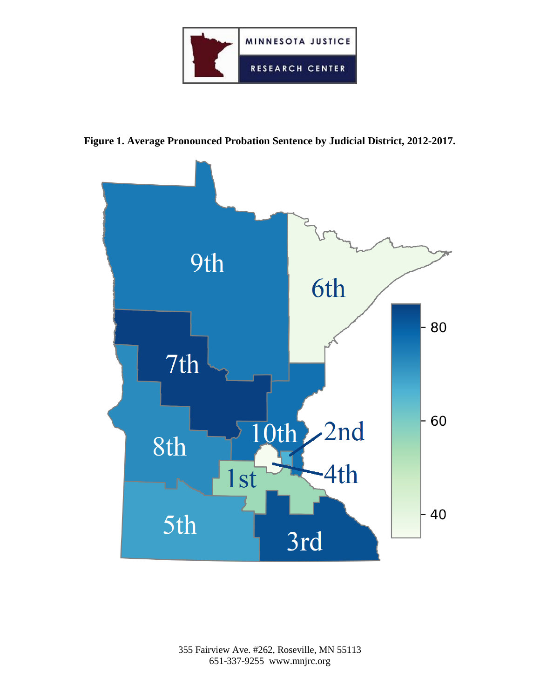

**Figure 1. Average Pronounced Probation Sentence by Judicial District, 2012-2017.**